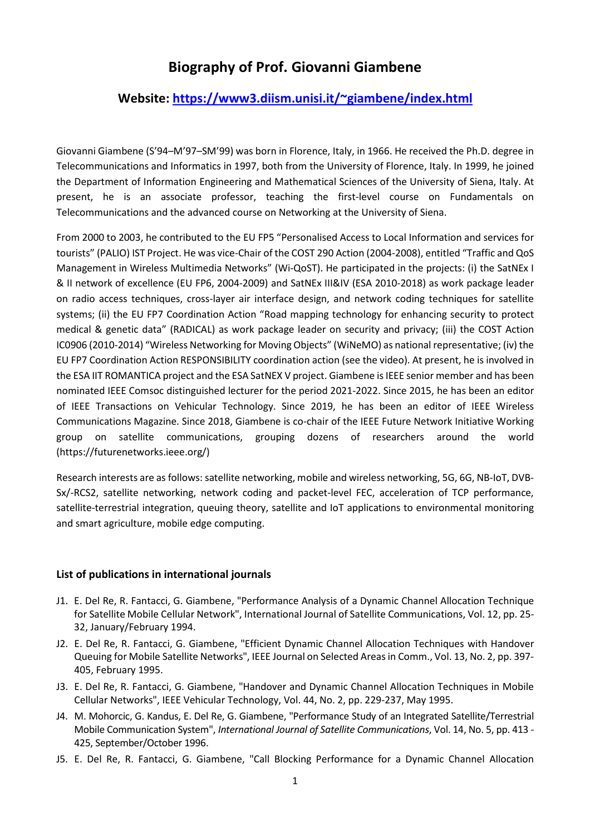## Biography of Prof. Giovanni Giambene

## Website: https://www3.diism.unisi.it/~giambene/index.html

Giovanni Giambene (S'94–M'97–SM'99) was born in Florence, Italy, in 1966. He received the Ph.D. degree in Telecommunications and Informatics in 1997, both from the University of Florence, Italy. In 1999, he joined the Department of Information Engineering and Mathematical Sciences of the University of Siena, Italy. At present, he is an associate professor, teaching the first-level course on Fundamentals on Telecommunications and the advanced course on Networking at the University of Siena.

From 2000 to 2003, he contributed to the EU FP5 "Personalised Access to Local Information and services for tourists" (PALIO) IST Project. He was vice-Chair of the COST 290 Action (2004-2008), entitled "Traffic and QoS Management in Wireless Multimedia Networks" (Wi-QoST). He participated in the projects: (i) the SatNEx I & II network of excellence (EU FP6, 2004-2009) and SatNEx III&IV (ESA 2010-2018) as work package leader on radio access techniques, cross-layer air interface design, and network coding techniques for satellite systems; (ii) the EU FP7 Coordination Action "Road mapping technology for enhancing security to protect medical & genetic data" (RADICAL) as work package leader on security and privacy; (iii) the COST Action IC0906 (2010-2014) "Wireless Networking for Moving Objects" (WiNeMO) as national representative; (iv) the EU FP7 Coordination Action RESPONSIBILITY coordination action (see the video). At present, he is involved in the ESA IIT ROMANTICA project and the ESA SatNEX V project. Giambene is IEEE senior member and has been nominated IEEE Comsoc distinguished lecturer for the period 2021-2022. Since 2015, he has been an editor of IEEE Transactions on Vehicular Technology. Since 2019, he has been an editor of IEEE Wireless Communications Magazine. Since 2018, Giambene is co-chair of the IEEE Future Network Initiative Working group on satellite communications, grouping dozens of researchers around the world (https://futurenetworks.ieee.org/)

Research interests are as follows: satellite networking, mobile and wireless networking, 5G, 6G, NB-IoT, DVB-Sx/-RCS2, satellite networking, network coding and packet-level FEC, acceleration of TCP performance, satellite-terrestrial integration, queuing theory, satellite and IoT applications to environmental monitoring and smart agriculture, mobile edge computing.

## List of publications in international journals

- J1. E. Del Re, R. Fantacci, G. Giambene, "Performance Analysis of a Dynamic Channel Allocation Technique for Satellite Mobile Cellular Network", International Journal of Satellite Communications, Vol. 12, pp. 25- 32, January/February 1994.
- J2. E. Del Re, R. Fantacci, G. Giambene, "Efficient Dynamic Channel Allocation Techniques with Handover Queuing for Mobile Satellite Networks", IEEE Journal on Selected Areas in Comm., Vol. 13, No. 2, pp. 397- 405, February 1995.
- J3. E. Del Re, R. Fantacci, G. Giambene, "Handover and Dynamic Channel Allocation Techniques in Mobile Cellular Networks", IEEE Vehicular Technology, Vol. 44, No. 2, pp. 229-237, May 1995.
- J4. M. Mohorcic, G. Kandus, E. Del Re, G. Giambene, "Performance Study of an Integrated Satellite/Terrestrial Mobile Communication System", International Journal of Satellite Communications, Vol. 14, No. 5, pp. 413 - 425, September/October 1996.
- J5. E. Del Re, R. Fantacci, G. Giambene, "Call Blocking Performance for a Dynamic Channel Allocation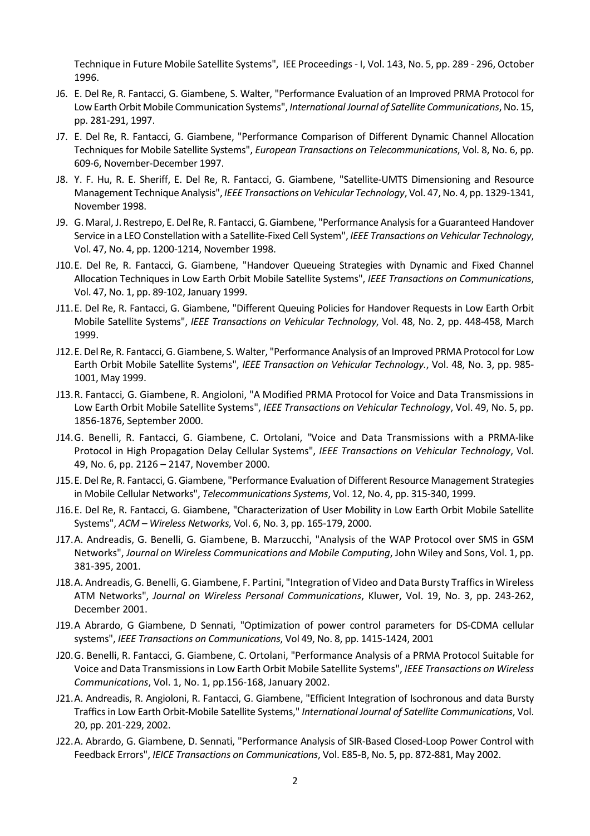Technique in Future Mobile Satellite Systems", IEE Proceedings - I, Vol. 143, No. 5, pp. 289 - 296, October 1996.

- J6. E. Del Re, R. Fantacci, G. Giambene, S. Walter, "Performance Evaluation of an Improved PRMA Protocol for Low Earth Orbit Mobile Communication Systems", International Journal of Satellite Communications, No. 15, pp. 281-291, 1997.
- J7. E. Del Re, R. Fantacci, G. Giambene, "Performance Comparison of Different Dynamic Channel Allocation Techniques for Mobile Satellite Systems", European Transactions on Telecommunications, Vol. 8, No. 6, pp. 609-6, November-December 1997.
- J8. Y. F. Hu, R. E. Sheriff, E. Del Re, R. Fantacci, G. Giambene, "Satellite-UMTS Dimensioning and Resource Management Technique Analysis", IEEE Transactions on Vehicular Technology, Vol. 47, No. 4, pp. 1329-1341, November 1998.
- J9. G. Maral, J. Restrepo, E. Del Re, R. Fantacci, G. Giambene, "Performance Analysis for a Guaranteed Handover Service in a LEO Constellation with a Satellite-Fixed Cell System", IEEE Transactions on Vehicular Technology, Vol. 47, No. 4, pp. 1200-1214, November 1998.
- J10.E. Del Re, R. Fantacci, G. Giambene, "Handover Queueing Strategies with Dynamic and Fixed Channel Allocation Techniques in Low Earth Orbit Mobile Satellite Systems", IEEE Transactions on Communications, Vol. 47, No. 1, pp. 89-102, January 1999.
- J11.E. Del Re, R. Fantacci, G. Giambene, "Different Queuing Policies for Handover Requests in Low Earth Orbit Mobile Satellite Systems", IEEE Transactions on Vehicular Technology, Vol. 48, No. 2, pp. 448-458, March 1999.
- J12.E. Del Re, R. Fantacci, G. Giambene, S. Walter, "Performance Analysis of an Improved PRMA Protocol for Low Earth Orbit Mobile Satellite Systems", IEEE Transaction on Vehicular Technology., Vol. 48, No. 3, pp. 985- 1001, May 1999.
- J13.R. Fantacci, G. Giambene, R. Angioloni, "A Modified PRMA Protocol for Voice and Data Transmissions in Low Earth Orbit Mobile Satellite Systems", IEEE Transactions on Vehicular Technology, Vol. 49, No. 5, pp. 1856-1876, September 2000.
- J14.G. Benelli, R. Fantacci, G. Giambene, C. Ortolani, "Voice and Data Transmissions with a PRMA-like Protocol in High Propagation Delay Cellular Systems", IEEE Transactions on Vehicular Technology, Vol. 49, No. 6, pp. 2126 – 2147, November 2000.
- J15.E. Del Re, R. Fantacci, G. Giambene, "Performance Evaluation of Different Resource Management Strategies in Mobile Cellular Networks", Telecommunications Systems, Vol. 12, No. 4, pp. 315-340, 1999.
- J16.E. Del Re, R. Fantacci, G. Giambene, "Characterization of User Mobility in Low Earth Orbit Mobile Satellite Systems", ACM – Wireless Networks, Vol. 6, No. 3, pp. 165-179, 2000.
- J17.A. Andreadis, G. Benelli, G. Giambene, B. Marzucchi, "Analysis of the WAP Protocol over SMS in GSM Networks", Journal on Wireless Communications and Mobile Computing, John Wiley and Sons, Vol. 1, pp. 381-395, 2001.
- J18.A. Andreadis, G. Benelli, G. Giambene, F. Partini, "Integration of Video and Data Bursty Traffics in Wireless ATM Networks", Journal on Wireless Personal Communications, Kluwer, Vol. 19, No. 3, pp. 243-262, December 2001.
- J19.A Abrardo, G Giambene, D Sennati, "Optimization of power control parameters for DS-CDMA cellular systems", IEEE Transactions on Communications, Vol 49, No. 8, pp. 1415-1424, 2001
- J20.G. Benelli, R. Fantacci, G. Giambene, C. Ortolani, "Performance Analysis of a PRMA Protocol Suitable for Voice and Data Transmissions in Low Earth Orbit Mobile Satellite Systems", IEEE Transactions on Wireless Communications, Vol. 1, No. 1, pp.156-168, January 2002.
- J21.A. Andreadis, R. Angioloni, R. Fantacci, G. Giambene, "Efficient Integration of Isochronous and data Bursty Traffics in Low Earth Orbit-Mobile Satellite Systems," International Journal of Satellite Communications, Vol. 20, pp. 201-229, 2002.
- J22.A. Abrardo, G. Giambene, D. Sennati, "Performance Analysis of SIR-Based Closed-Loop Power Control with Feedback Errors", IEICE Transactions on Communications, Vol. E85-B, No. 5, pp. 872-881, May 2002.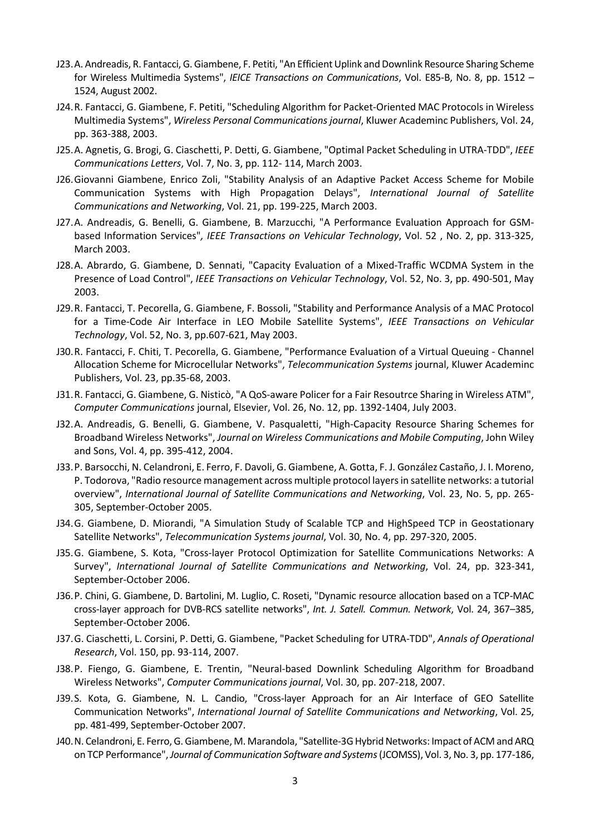- J23.A. Andreadis, R. Fantacci, G. Giambene, F. Petiti, "An Efficient Uplink and Downlink Resource Sharing Scheme for Wireless Multimedia Systems", IEICE Transactions on Communications, Vol. E85-B, No. 8, pp. 1512 -1524, August 2002.
- J24.R. Fantacci, G. Giambene, F. Petiti, "Scheduling Algorithm for Packet-Oriented MAC Protocols in Wireless Multimedia Systems", Wireless Personal Communications journal, Kluwer Academinc Publishers, Vol. 24, pp. 363-388, 2003.
- J25.A. Agnetis, G. Brogi, G. Ciaschetti, P. Detti, G. Giambene, "Optimal Packet Scheduling in UTRA-TDD", IEEE Communications Letters, Vol. 7, No. 3, pp. 112- 114, March 2003.
- J26.Giovanni Giambene, Enrico Zoli, "Stability Analysis of an Adaptive Packet Access Scheme for Mobile Communication Systems with High Propagation Delays", International Journal of Satellite Communications and Networking, Vol. 21, pp. 199-225, March 2003.
- J27.A. Andreadis, G. Benelli, G. Giambene, B. Marzucchi, "A Performance Evaluation Approach for GSMbased Information Services", IEEE Transactions on Vehicular Technology, Vol. 52 , No. 2, pp. 313-325, March 2003.
- J28.A. Abrardo, G. Giambene, D. Sennati, "Capacity Evaluation of a Mixed-Traffic WCDMA System in the Presence of Load Control", IEEE Transactions on Vehicular Technology, Vol. 52, No. 3, pp. 490-501, May 2003.
- J29.R. Fantacci, T. Pecorella, G. Giambene, F. Bossoli, "Stability and Performance Analysis of a MAC Protocol for a Time-Code Air Interface in LEO Mobile Satellite Systems", IEEE Transactions on Vehicular Technology, Vol. 52, No. 3, pp.607-621, May 2003.
- J30.R. Fantacci, F. Chiti, T. Pecorella, G. Giambene, "Performance Evaluation of a Virtual Queuing Channel Allocation Scheme for Microcellular Networks", Telecommunication Systems journal, Kluwer Academinc Publishers, Vol. 23, pp.35-68, 2003.
- J31.R. Fantacci, G. Giambene, G. Nisticò, "A QoS-aware Policer for a Fair Resoutrce Sharing in Wireless ATM", Computer Communications journal, Elsevier, Vol. 26, No. 12, pp. 1392-1404, July 2003.
- J32.A. Andreadis, G. Benelli, G. Giambene, V. Pasqualetti, "High-Capacity Resource Sharing Schemes for Broadband Wireless Networks", Journal on Wireless Communications and Mobile Computing, John Wiley and Sons, Vol. 4, pp. 395-412, 2004.
- J33.P. Barsocchi, N. Celandroni, E. Ferro, F. Davoli, G. Giambene, A. Gotta, F. J. González Castaño, J. I. Moreno, P. Todorova, "Radio resource management across multiple protocol layers in satellite networks: a tutorial overview", International Journal of Satellite Communications and Networking, Vol. 23, No. 5, pp. 265- 305, September-October 2005.
- J34.G. Giambene, D. Miorandi, "A Simulation Study of Scalable TCP and HighSpeed TCP in Geostationary Satellite Networks", Telecommunication Systems journal, Vol. 30, No. 4, pp. 297-320, 2005.
- J35.G. Giambene, S. Kota, "Cross-layer Protocol Optimization for Satellite Communications Networks: A Survey", International Journal of Satellite Communications and Networking, Vol. 24, pp. 323-341, September-October 2006.
- J36.P. Chini, G. Giambene, D. Bartolini, M. Luglio, C. Roseti, "Dynamic resource allocation based on a TCP-MAC cross-layer approach for DVB-RCS satellite networks", Int. J. Satell. Commun. Network, Vol. 24, 367–385, September-October 2006.
- J37.G. Ciaschetti, L. Corsini, P. Detti, G. Giambene, "Packet Scheduling for UTRA-TDD", Annals of Operational Research, Vol. 150, pp. 93-114, 2007.
- J38.P. Fiengo, G. Giambene, E. Trentin, "Neural-based Downlink Scheduling Algorithm for Broadband Wireless Networks", Computer Communications journal, Vol. 30, pp. 207-218, 2007.
- J39.S. Kota, G. Giambene, N. L. Candio, "Cross-layer Approach for an Air Interface of GEO Satellite Communication Networks", International Journal of Satellite Communications and Networking, Vol. 25, pp. 481-499, September-October 2007.
- J40.N. Celandroni, E. Ferro, G. Giambene, M. Marandola, "Satellite-3G Hybrid Networks: Impact of ACM and ARQ on TCP Performance", Journal of Communication Software and Systems (JCOMSS), Vol. 3, No. 3, pp. 177-186,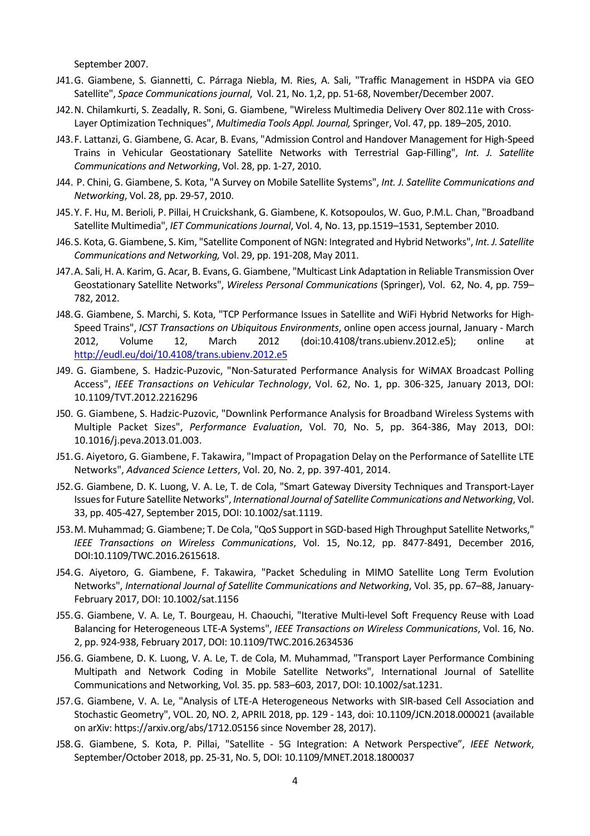September 2007.

- J41.G. Giambene, S. Giannetti, C. Párraga Niebla, M. Ries, A. Sali, "Traffic Management in HSDPA via GEO Satellite", Space Communications journal, Vol. 21, No. 1,2, pp. 51-68, November/December 2007.
- J42.N. Chilamkurti, S. Zeadally, R. Soni, G. Giambene, "Wireless Multimedia Delivery Over 802.11e with Cross-Layer Optimization Techniques", Multimedia Tools Appl. Journal, Springer, Vol. 47, pp. 189–205, 2010.
- J43.F. Lattanzi, G. Giambene, G. Acar, B. Evans, "Admission Control and Handover Management for High-Speed Trains in Vehicular Geostationary Satellite Networks with Terrestrial Gap-Filling", Int. J. Satellite Communications and Networking, Vol. 28, pp. 1-27, 2010.
- J44. P. Chini, G. Giambene, S. Kota, "A Survey on Mobile Satellite Systems", Int. J. Satellite Communications and Networking, Vol. 28, pp. 29-57, 2010.
- J45.Y. F. Hu, M. Berioli, P. Pillai, H Cruickshank, G. Giambene, K. Kotsopoulos, W. Guo, P.M.L. Chan, "Broadband Satellite Multimedia", IET Communications Journal, Vol. 4, No. 13, pp.1519–1531, September 2010.
- J46.S. Kota, G. Giambene, S. Kim, "Satellite Component of NGN: Integrated and Hybrid Networks", Int. J. Satellite Communications and Networking, Vol. 29, pp. 191-208, May 2011.
- J47.A. Sali, H. A. Karim, G. Acar, B. Evans, G. Giambene, "Multicast Link Adaptation in Reliable Transmission Over Geostationary Satellite Networks", Wireless Personal Communications (Springer), Vol. 62, No. 4, pp. 759– 782, 2012.
- J48.G. Giambene, S. Marchi, S. Kota, "TCP Performance Issues in Satellite and WiFi Hybrid Networks for High-Speed Trains", ICST Transactions on Ubiquitous Environments, online open access journal, January - March 2012, Volume 12, March 2012 (doi:10.4108/trans.ubienv.2012.e5); online at http://eudl.eu/doi/10.4108/trans.ubienv.2012.e5
- J49. G. Giambene, S. Hadzic-Puzovic, "Non-Saturated Performance Analysis for WiMAX Broadcast Polling Access", IEEE Transactions on Vehicular Technology, Vol. 62, No. 1, pp. 306-325, January 2013, DOI: 10.1109/TVT.2012.2216296
- J50. G. Giambene, S. Hadzic-Puzovic, "Downlink Performance Analysis for Broadband Wireless Systems with Multiple Packet Sizes", Performance Evaluation, Vol. 70, No. 5, pp. 364-386, May 2013, DOI: 10.1016/j.peva.2013.01.003.
- J51.G. Aiyetoro, G. Giambene, F. Takawira, "Impact of Propagation Delay on the Performance of Satellite LTE Networks", Advanced Science Letters, Vol. 20, No. 2, pp. 397-401, 2014.
- J52.G. Giambene, D. K. Luong, V. A. Le, T. de Cola, "Smart Gateway Diversity Techniques and Transport-Layer Issues for Future Satellite Networks", International Journal of Satellite Communications and Networking, Vol. 33, pp. 405-427, September 2015, DOI: 10.1002/sat.1119.
- J53.M. Muhammad; G. Giambene; T. De Cola, "QoS Support in SGD-based High Throughput Satellite Networks," IEEE Transactions on Wireless Communications, Vol. 15, No.12, pp. 8477-8491, December 2016, DOI:10.1109/TWC.2016.2615618.
- J54.G. Aiyetoro, G. Giambene, F. Takawira, "Packet Scheduling in MIMO Satellite Long Term Evolution Networks", International Journal of Satellite Communications and Networking, Vol. 35, pp. 67–88, January-February 2017, DOI: 10.1002/sat.1156
- J55.G. Giambene, V. A. Le, T. Bourgeau, H. Chaouchi, "Iterative Multi-level Soft Frequency Reuse with Load Balancing for Heterogeneous LTE-A Systems", IEEE Transactions on Wireless Communications, Vol. 16, No. 2, pp. 924-938, February 2017, DOI: 10.1109/TWC.2016.2634536
- J56.G. Giambene, D. K. Luong, V. A. Le, T. de Cola, M. Muhammad, "Transport Layer Performance Combining Multipath and Network Coding in Mobile Satellite Networks", International Journal of Satellite Communications and Networking, Vol. 35. pp. 583–603, 2017, DOI: 10.1002/sat.1231.
- J57.G. Giambene, V. A. Le, "Analysis of LTE-A Heterogeneous Networks with SIR-based Cell Association and Stochastic Geometry", VOL. 20, NO. 2, APRIL 2018, pp. 129 - 143, doi: 10.1109/JCN.2018.000021 (available on arXiv: https://arxiv.org/abs/1712.05156 since November 28, 2017).
- J58.G. Giambene, S. Kota, P. Pillai, "Satellite 5G Integration: A Network Perspective", IEEE Network, September/October 2018, pp. 25-31, No. 5, DOI: 10.1109/MNET.2018.1800037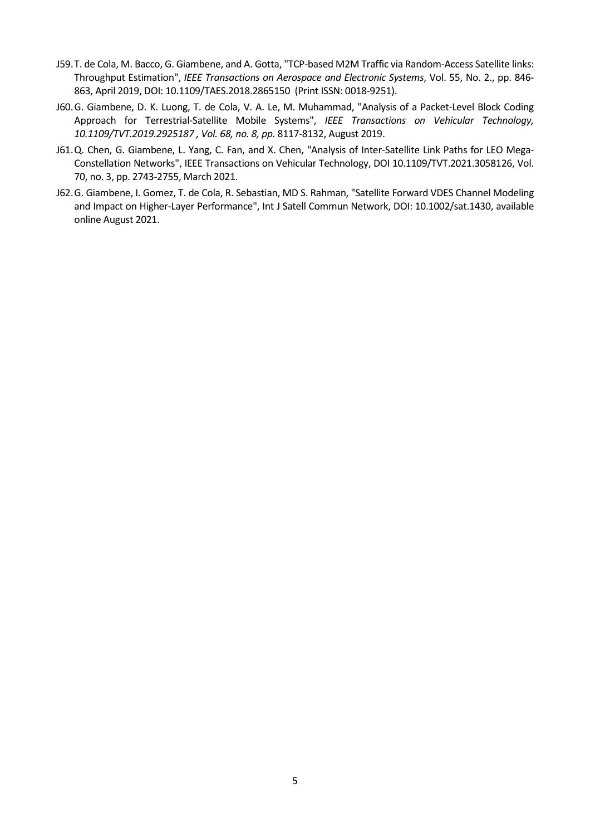- J59.T. de Cola, M. Bacco, G. Giambene, and A. Gotta, "TCP-based M2M Traffic via Random-Access Satellite links: Throughput Estimation", IEEE Transactions on Aerospace and Electronic Systems, Vol. 55, No. 2., pp. 846- 863, April 2019, DOI: 10.1109/TAES.2018.2865150 (Print ISSN: 0018-9251).
- J60.G. Giambene, D. K. Luong, T. de Cola, V. A. Le, M. Muhammad, "Analysis of a Packet-Level Block Coding Approach for Terrestrial-Satellite Mobile Systems", IEEE Transactions on Vehicular Technology, 10.1109/TVT.2019.2925187 , Vol. 68, no. 8, pp. 8117-8132, August 2019.
- J61.Q. Chen, G. Giambene, L. Yang, C. Fan, and X. Chen, "Analysis of Inter-Satellite Link Paths for LEO Mega-Constellation Networks", IEEE Transactions on Vehicular Technology, DOI 10.1109/TVT.2021.3058126, Vol. 70, no. 3, pp. 2743-2755, March 2021.
- J62.G. Giambene, I. Gomez, T. de Cola, R. Sebastian, MD S. Rahman, "Satellite Forward VDES Channel Modeling and Impact on Higher-Layer Performance", Int J Satell Commun Network, DOI: 10.1002/sat.1430, available online August 2021.